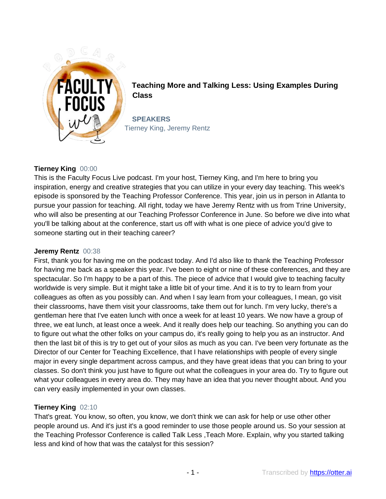

**Teaching More and Talking Less: Using Examples During Class**

**SPEAKERS** Tierney King, Jeremy Rentz

# **Tierney King** 00:00

This is the Faculty Focus Live podcast. I'm your host, Tierney King, and I'm here to bring you inspiration, energy and creative strategies that you can utilize in your every day teaching. This week's episode is sponsored by the Teaching Professor Conference. This year, join us in person in Atlanta to pursue your passion for teaching. All right, today we have Jeremy Rentz with us from Trine University, who will also be presenting at our Teaching Professor Conference in June. So before we dive into what you'll be talking about at the conference, start us off with what is one piece of advice you'd give to someone starting out in their teaching career?

### **Jeremy Rentz** 00:38

First, thank you for having me on the podcast today. And I'd also like to thank the Teaching Professor for having me back as a speaker this year. I've been to eight or nine of these conferences, and they are spectacular. So I'm happy to be a part of this. The piece of advice that I would give to teaching faculty worldwide is very simple. But it might take a little bit of your time. And it is to try to learn from your colleagues as often as you possibly can. And when I say learn from your colleagues, I mean, go visit their classrooms, have them visit your classrooms, take them out for lunch. I'm very lucky, there's a gentleman here that I've eaten lunch with once a week for at least 10 years. We now have a group of three, we eat lunch, at least once a week. And it really does help our teaching. So anything you can do to figure out what the other folks on your campus do, it's really going to help you as an instructor. And then the last bit of this is try to get out of your silos as much as you can. I've been very fortunate as the Director of our Center for Teaching Excellence, that I have relationships with people of every single major in every single department across campus, and they have great ideas that you can bring to your classes. So don't think you just have to figure out what the colleagues in your area do. Try to figure out what your colleagues in every area do. They may have an idea that you never thought about. And you can very easily implemented in your own classes.

### **Tierney King** 02:10

That's great. You know, so often, you know, we don't think we can ask for help or use other other people around us. And it's just it's a good reminder to use those people around us. So your session at the Teaching Professor Conference is called Talk Less ,Teach More. Explain, why you started talking less and kind of how that was the catalyst for this session?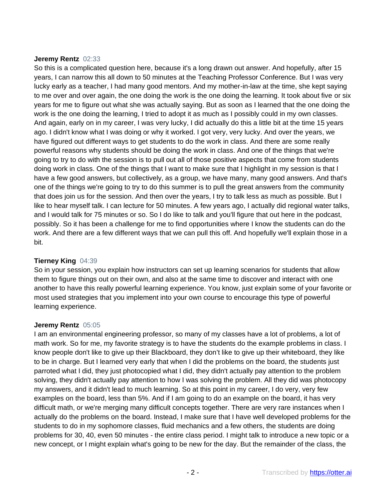#### **Jeremy Rentz** 02:33

So this is a complicated question here, because it's a long drawn out answer. And hopefully, after 15 years, I can narrow this all down to 50 minutes at the Teaching Professor Conference. But I was very lucky early as a teacher, I had many good mentors. And my mother-in-law at the time, she kept saying to me over and over again, the one doing the work is the one doing the learning. It took about five or six years for me to figure out what she was actually saying. But as soon as I learned that the one doing the work is the one doing the learning, I tried to adopt it as much as I possibly could in my own classes. And again, early on in my career, I was very lucky, I did actually do this a little bit at the time 15 years ago. I didn't know what I was doing or why it worked. I got very, very lucky. And over the years, we have figured out different ways to get students to do the work in class. And there are some really powerful reasons why students should be doing the work in class. And one of the things that we're going to try to do with the session is to pull out all of those positive aspects that come from students doing work in class. One of the things that I want to make sure that I highlight in my session is that I have a few good answers, but collectively, as a group, we have many, many good answers. And that's one of the things we're going to try to do this summer is to pull the great answers from the community that does join us for the session. And then over the years, I try to talk less as much as possible. But I like to hear myself talk. I can lecture for 50 minutes. A few years ago, I actually did regional water talks, and I would talk for 75 minutes or so. So I do like to talk and you'll figure that out here in the podcast, possibly. So it has been a challenge for me to find opportunities where I know the students can do the work. And there are a few different ways that we can pull this off. And hopefully we'll explain those in a bit.

### **Tierney King** 04:39

So in your session, you explain how instructors can set up learning scenarios for students that allow them to figure things out on their own, and also at the same time to discover and interact with one another to have this really powerful learning experience. You know, just explain some of your favorite or most used strategies that you implement into your own course to encourage this type of powerful learning experience.

#### **Jeremy Rentz** 05:05

I am an environmental engineering professor, so many of my classes have a lot of problems, a lot of math work. So for me, my favorite strategy is to have the students do the example problems in class. I know people don't like to give up their Blackboard, they don't like to give up their whiteboard, they like to be in charge. But I learned very early that when I did the problems on the board, the students just parroted what I did, they just photocopied what I did, they didn't actually pay attention to the problem solving, they didn't actually pay attention to how I was solving the problem. All they did was photocopy my answers, and it didn't lead to much learning. So at this point in my career, I do very, very few examples on the board, less than 5%. And if I am going to do an example on the board, it has very difficult math, or we're merging many difficult concepts together. There are very rare instances when I actually do the problems on the board. Instead, I make sure that I have well developed problems for the students to do in my sophomore classes, fluid mechanics and a few others, the students are doing problems for 30, 40, even 50 minutes - the entire class period. I might talk to introduce a new topic or a new concept, or I might explain what's going to be new for the day. But the remainder of the class, the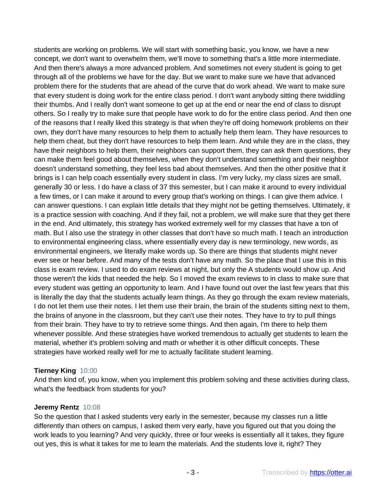students are working on problems. We will start with something basic, you know, we have a new concept, we don't want to overwhelm them, we'll move to something that's a little more intermediate. And then there's always a more advanced problem. And sometimes not every student is going to get through all of the problems we have for the day. But we want to make sure we have that advanced problem there for the students that are ahead of the curve that do work ahead. We want to make sure that every student is doing work for the entire class period. I don't want anybody sitting there twiddling their thumbs. And I really don't want someone to get up at the end or near the end of class to disrupt others. So I really try to make sure that people have work to do for the entire class period. And then one of the reasons that I really liked this strategy is that when they're off doing homework problems on their own, they don't have many resources to help them to actually help them learn. They have resources to help them cheat, but they don't have resources to help them learn. And while they are in the class, they have their neighbors to help them, their neighbors can support them, they can ask them questions, they can make them feel good about themselves, when they don't understand something and their neighbor doesn't understand something, they feel less bad about themselves. And then the other positive that it brings is I can help coach essentially every student in class. I'm very lucky, my class sizes are small, generally 30 or less. I do have a class of 37 this semester, but I can make it around to every individual a few times, or I can make it around to every group that's working on things. I can give them advice. I can answer questions. I can explain little details that they might not be getting themselves. Ultimately, it is a practice session with coaching. And if they fail, not a problem, we will make sure that they get there in the end. And ultimately, this strategy has worked extremely well for my classes that have a ton of math. But I also use the strategy in other classes that don't have so much math. I teach an introduction to environmental engineering class, where essentially every day is new terminology, new words, as environmental engineers, we literally make words up. So there are things that students might never ever see or hear before. And many of the tests don't have any math. So the place that I use this in this class is exam review. I used to do exam reviews at night, but only the A students would show up. And those weren't the kids that needed the help. So I moved the exam reviews to in class to make sure that every student was getting an opportunity to learn. And I have found out over the last few years that this is literally the day that the students actually learn things. As they go through the exam review materials, I do not let them use their notes. I let them use their brain, the brain of the students sitting next to them, the brains of anyone in the classroom, but they can't use their notes. They have to try to pull things from their brain. They have to try to retrieve some things. And then again, I'm there to help them whenever possible. And these strategies have worked tremendous to actually get students to learn the material, whether it's problem solving and math or whether it is other difficult concepts. These strategies have worked really well for me to actually facilitate student learning.

### **Tierney King** 10:00

And then kind of, you know, when you implement this problem solving and these activities during class, what's the feedback from students for you?

### **Jeremy Rentz** 10:08

So the question that I asked students very early in the semester, because my classes run a little differently than others on campus, I asked them very early, have you figured out that you doing the work leads to you learning? And very quickly, three or four weeks is essentially all it takes, they figure out yes, this is what it takes for me to learn the materials. And the students love it, right? They